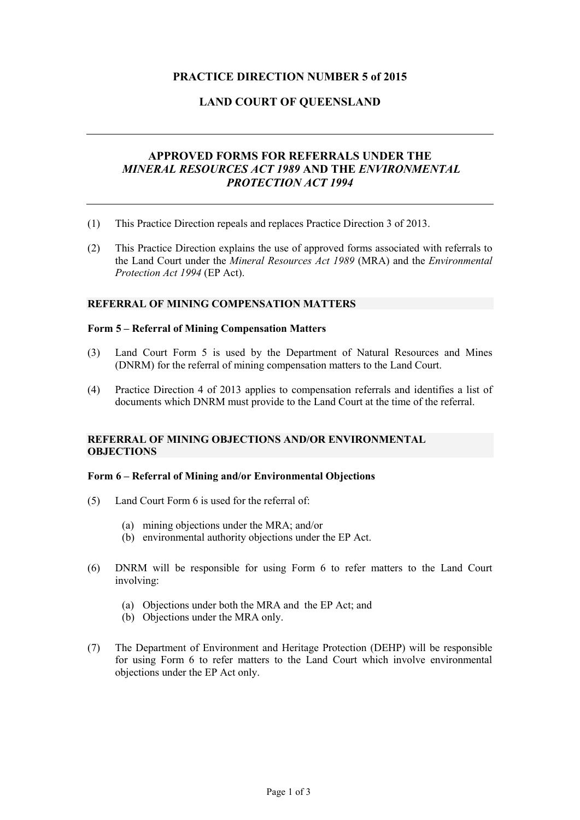# **PRACTICE DIRECTION NUMBER 5 of 2015**

# **LAND COURT OF QUEENSLAND**

# **APPROVED FORMS FOR REFERRALS UNDER THE** *MINERAL RESOURCES ACT 1989* **AND THE** *ENVIRONMENTAL PROTECTION ACT 1994*

- (1) This Practice Direction repeals and replaces Practice Direction 3 of 2013.
- (2) This Practice Direction explains the use of approved forms associated with referrals to the Land Court under the *Mineral Resources Act 1989* (MRA) and the *Environmental Protection Act 1994* (EP Act).

#### **REFERRAL OF MINING COMPENSATION MATTERS**

#### **Form 5 – Referral of Mining Compensation Matters**

- (3) Land Court Form 5 is used by the Department of Natural Resources and Mines (DNRM) for the referral of mining compensation matters to the Land Court.
- (4) Practice Direction 4 of 2013 applies to compensation referrals and identifies a list of documents which DNRM must provide to the Land Court at the time of the referral.

### **REFERRAL OF MINING OBJECTIONS AND/OR ENVIRONMENTAL OBJECTIONS**

#### **Form 6 – Referral of Mining and/or Environmental Objections**

- (5) Land Court Form 6 is used for the referral of:
	- (a) mining objections under the MRA; and/or
	- (b) environmental authority objections under the EP Act.
- (6) DNRM will be responsible for using Form 6 to refer matters to the Land Court involving:
	- (a) Objections under both the MRA and the EP Act; and
	- (b) Objections under the MRA only.
- (7) The Department of Environment and Heritage Protection (DEHP) will be responsible for using Form 6 to refer matters to the Land Court which involve environmental objections under the EP Act only.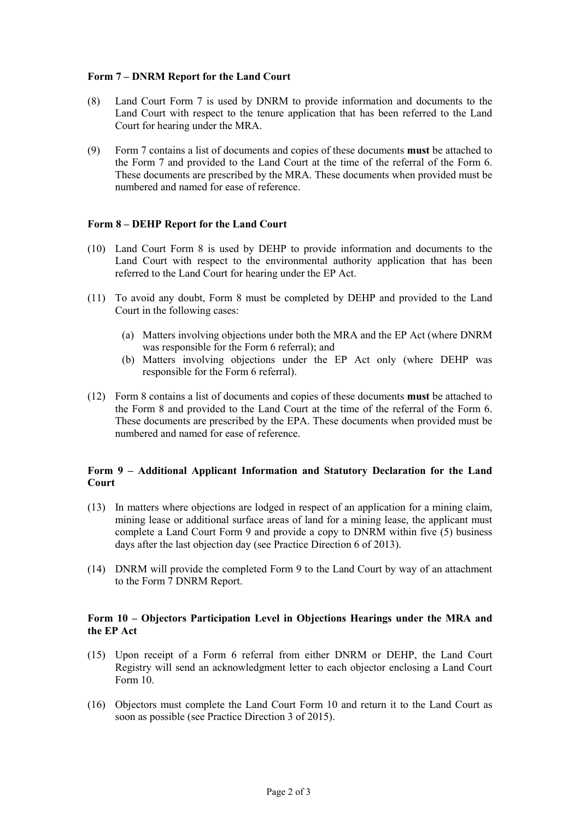### **Form 7 – DNRM Report for the Land Court**

- (8) Land Court Form 7 is used by DNRM to provide information and documents to the Land Court with respect to the tenure application that has been referred to the Land Court for hearing under the MRA.
- (9) Form 7 contains a list of documents and copies of these documents **must** be attached to the Form 7 and provided to the Land Court at the time of the referral of the Form 6. These documents are prescribed by the MRA. These documents when provided must be numbered and named for ease of reference.

# **Form 8 – DEHP Report for the Land Court**

- (10) Land Court Form 8 is used by DEHP to provide information and documents to the Land Court with respect to the environmental authority application that has been referred to the Land Court for hearing under the EP Act.
- (11) To avoid any doubt, Form 8 must be completed by DEHP and provided to the Land Court in the following cases:
	- (a) Matters involving objections under both the MRA and the EP Act (where DNRM was responsible for the Form 6 referral); and
	- (b) Matters involving objections under the EP Act only (where DEHP was responsible for the Form 6 referral).
- (12) Form 8 contains a list of documents and copies of these documents **must** be attached to the Form 8 and provided to the Land Court at the time of the referral of the Form 6. These documents are prescribed by the EPA. These documents when provided must be numbered and named for ease of reference.

# **Form 9 – Additional Applicant Information and Statutory Declaration for the Land Court**

- (13) In matters where objections are lodged in respect of an application for a mining claim, mining lease or additional surface areas of land for a mining lease, the applicant must complete a Land Court Form 9 and provide a copy to DNRM within five (5) business days after the last objection day (see Practice Direction 6 of 2013).
- (14) DNRM will provide the completed Form 9 to the Land Court by way of an attachment to the Form 7 DNRM Report.

### **Form 10 – Objectors Participation Level in Objections Hearings under the MRA and the EP Act**

- (15) Upon receipt of a Form 6 referral from either DNRM or DEHP, the Land Court Registry will send an acknowledgment letter to each objector enclosing a Land Court Form 10.
- (16) Objectors must complete the Land Court Form 10 and return it to the Land Court as soon as possible (see Practice Direction 3 of 2015).